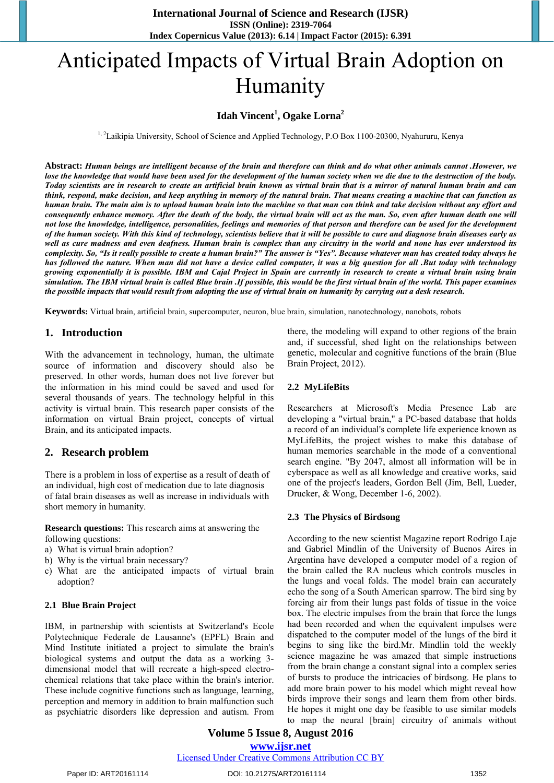# Anticipated Impacts of Virtual Brain Adoption on Humanity

# **Idah Vincent<sup>1</sup> , Ogake Lorna<sup>2</sup>**

<sup>1, 2</sup>Laikipia University, School of Science and Applied Technology, P.O Box 1100-20300, Nyahururu, Kenya

**Abstract:** *Human beings are intelligent because of the brain and therefore can think and do what other animals cannot .However, we lose the knowledge that would have been used for the development of the human society when we die due to the destruction of the body. Today scientists are in research to create an artificial brain known as virtual brain that is a mirror of natural human brain and can think, respond, make decision, and keep anything in memory of the natural brain. That means creating a machine that can function as human brain. The main aim is to upload human brain into the machine so that man can think and take decision without any effort and consequently enhance memory. After the death of the body, the virtual brain will act as the man. So, even after human death one will not lose the knowledge, intelligence, personalities, feelings and memories of that person and therefore can be used for the development of the human society. With this kind of technology, scientists believe that it will be possible to cure and diagnose brain diseases early as well as cure madness and even deafness. Human brain is complex than any circuitry in the world and none has ever understood its complexity. So, "Is it really possible to create a human brain?" The answer is "Yes". Because whatever man has created today always he has followed the nature. When man did not have a device called computer, it was a big question for all .But today with technology growing exponentially it is possible. IBM and Cajal Project in Spain are currently in research to create a virtual brain using brain simulation. The IBM virtual brain is called Blue brain .If possible, this would be the first virtual brain of the world. This paper examines the possible impacts that would result from adopting the use of virtual brain on humanity by carrying out a desk research.* 

**Keywords:** Virtual brain, artificial brain, supercomputer, neuron, blue brain, simulation, nanotechnology, nanobots, robots

# **1. Introduction**

With the advancement in technology, human, the ultimate source of information and discovery should also be preserved. In other words, human does not live forever but the information in his mind could be saved and used for several thousands of years. The technology helpful in this activity is virtual brain. This research paper consists of the information on virtual Brain project, concepts of virtual Brain, and its anticipated impacts.

#### **2. Research problem**

There is a problem in loss of expertise as a result of death of an individual, high cost of medication due to late diagnosis of fatal brain diseases as well as increase in individuals with short memory in humanity.

**Research questions:** This research aims at answering the following questions:

- a) What is virtual brain adoption?
- b) Why is the virtual brain necessary?
- c) What are the anticipated impacts of virtual brain adoption?

#### **2.1 Blue Brain Project**

IBM, in partnership with scientists at Switzerland's Ecole Polytechnique Federale de Lausanne's (EPFL) Brain and Mind Institute initiated a project to simulate the brain's biological systems and output the data as a working 3 dimensional model that will recreate a high-speed electrochemical relations that take place within the brain's interior. These include cognitive functions such as language, learning, perception and memory in addition to brain malfunction such as psychiatric disorders like depression and autism. From

there, the modeling will expand to other regions of the brain and, if successful, shed light on the relationships between genetic, molecular and cognitive functions of the brain (Blue Brain Project, 2012).

#### **2.2 MyLifeBits**

Researchers at Microsoft's Media Presence Lab are developing a "virtual brain," a PC-based database that holds a record of an individual's complete life experience known as MyLifeBits, the project wishes to make this database of human memories searchable in the mode of a conventional search engine. "By 2047, almost all information will be in cyberspace as well as all knowledge and creative works, said one of the project's leaders, Gordon Bell (Jim, Bell, Lueder, Drucker, & Wong, December 1-6, 2002).

#### **2.3 The Physics of Birdsong**

According to the new scientist Magazine report Rodrigo Laje and Gabriel Mindlin of the University of Buenos Aires in Argentina have developed a computer model of a region of the brain called the RA nucleus which controls muscles in the lungs and vocal folds. The model brain can accurately echo the song of a South American sparrow. The bird sing by forcing air from their lungs past folds of tissue in the voice box. The electric impulses from the brain that force the lungs had been recorded and when the equivalent impulses were dispatched to the computer model of the lungs of the bird it begins to sing like the bird.Mr. Mindlin told the weekly science magazine he was amazed that simple instructions from the brain change a constant signal into a complex series of bursts to produce the intricacies of birdsong. He plans to add more brain power to his model which might reveal how birds improve their songs and learn them from other birds. He hopes it might one day be feasible to use similar models to map the neural [brain] circuitry of animals without

# **Volume 5 Issue 8, August 2016 www.ijsr.net**

Licensed Under Creative Commons Attribution CC BY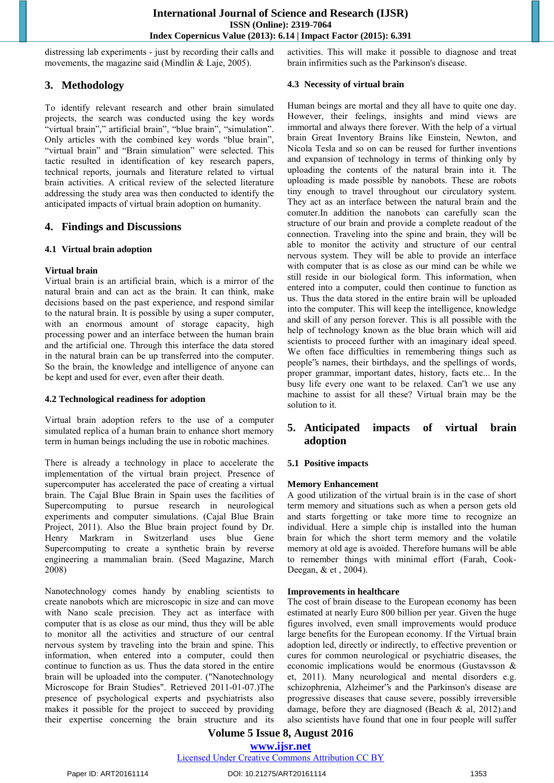distressing lab experiments - just by recording their calls and movements, the magazine said (Mindlin & Laje, 2005).

# **3. Methodology**

To identify relevant research and other brain simulated projects, the search was conducted using the key words "virtual brain"," artificial brain", "blue brain", "simulation". Only articles with the combined key words "blue brain", "virtual brain" and "Brain simulation" were selected. This tactic resulted in identification of key research papers, technical reports, journals and literature related to virtual brain activities. A critical review of the selected literature addressing the study area was then conducted to identify the anticipated impacts of virtual brain adoption on humanity.

# **4. Findings and Discussions**

#### **4.1 Virtual brain adoption**

#### **Virtual brain**

Virtual brain is an artificial brain, which is a mirror of the natural brain and can act as the brain. It can think, make decisions based on the past experience, and respond similar to the natural brain. It is possible by using a super computer, with an enormous amount of storage capacity, high processing power and an interface between the human brain and the artificial one. Through this interface the data stored in the natural brain can be up transferred into the computer. So the brain, the knowledge and intelligence of anyone can be kept and used for ever, even after their death.

#### **4.2 Technological readiness for adoption**

Virtual brain adoption refers to the use of a computer simulated replica of a human brain to enhance short memory term in human beings including the use in robotic machines.

There is already a technology in place to accelerate the implementation of the virtual brain project. Presence of supercomputer has accelerated the pace of creating a virtual brain. The Cajal Blue Brain in Spain uses the facilities of Supercomputing to pursue research in neurological experiments and computer simulations. (Cajal Blue Brain Project, 2011). Also the Blue brain project found by Dr. Henry Markram in Switzerland uses blue Gene Supercomputing to create a synthetic brain by reverse engineering a mammalian brain. (Seed Magazine, March 2008)

Nanotechnology comes handy by enabling scientists to create nanobots which are microscopic in size and can move with Nano scale precision. They act as interface with computer that is as close as our mind, thus they will be able to monitor all the activities and structure of our central nervous system by traveling into the brain and spine. This information, when entered into a computer, could then continue to function as us. Thus the data stored in the entire brain will be uploaded into the computer. ("Nanotechnology Microscope for Brain Studies". Retrieved 2011-01-07.)The presence of psychological experts and psychiatrists also makes it possible for the project to succeed by providing their expertise concerning the brain structure and its activities. This will make it possible to diagnose and treat brain infirmities such as the Parkinson's disease.

#### **4.3 Necessity of virtual brain**

Human beings are mortal and they all have to quite one day. However, their feelings, insights and mind views are immortal and always there forever. With the help of a virtual brain Great Inventory Brains like Einstein, Newton, and Nicola Tesla and so on can be reused for further inventions and expansion of technology in terms of thinking only by uploading the contents of the natural brain into it. The uploading is made possible by nanobots. These are robots tiny enough to travel throughout our circulatory system. They act as an interface between the natural brain and the comuter.In addition the nanobots can carefully scan the structure of our brain and provide a complete readout of the connection. Traveling into the spine and brain, they will be able to monitor the activity and structure of our central nervous system. They will be able to provide an interface with computer that is as close as our mind can be while we still reside in our biological form. This information, when entered into a computer, could then continue to function as us. Thus the data stored in the entire brain will be uploaded into the computer. This will keep the intelligence, knowledge and skill of any person forever. This is all possible with the help of technology known as the blue brain which will aid scientists to proceed further with an imaginary ideal speed. We often face difficulties in remembering things such as people"s names, their birthdays, and the spellings of words, proper grammar, important dates, history, facts etc... In the busy life every one want to be relaxed. Can"t we use any machine to assist for all these? Virtual brain may be the solution to it.

# **5. Anticipated impacts of virtual brain adoption**

# **5.1 Positive impacts**

#### **Memory Enhancement**

A good utilization of the virtual brain is in the case of short term memory and situations such as when a person gets old and starts forgetting or take more time to recognize an individual. Here a simple chip is installed into the human brain for which the short term memory and the volatile memory at old age is avoided. Therefore humans will be able to remember things with minimal effort (Farah, Cook-Deegan, & et , 2004).

#### **Improvements in healthcare**

The cost of brain disease to the European economy has been estimated at nearly Euro 800 billion per year. Given the huge figures involved, even small improvements would produce large benefits for the European economy. If the Virtual brain adoption led, directly or indirectly, to effective prevention or cures for common neurological or psychiatric diseases, the economic implications would be enormous (Gustavsson & et, 2011). Many neurological and mental disorders e.g. schizophrenia, Alzheimer"s and the Parkinson's disease are progressive diseases that cause severe, possibly irreversible damage, before they are diagnosed (Beach & al, 2012).and also scientists have found that one in four people will suffer

# **Volume 5 Issue 8, August 2016**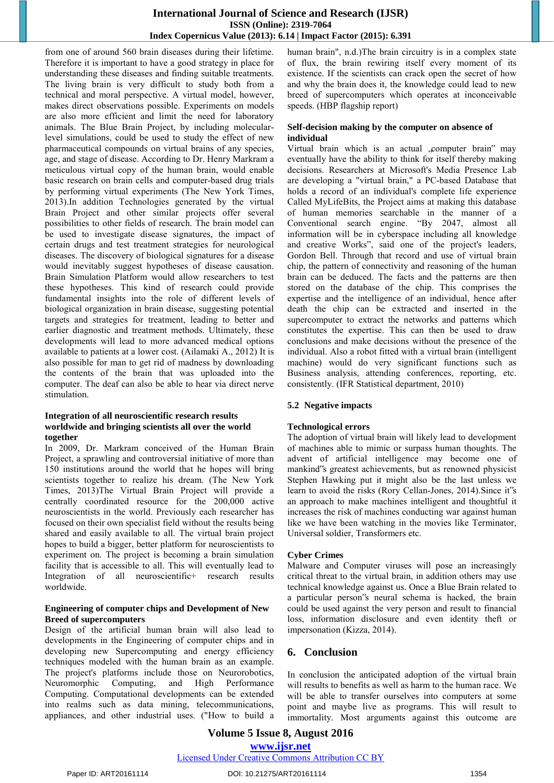#### **International Journal of Science and Research (IJSR) ISSN (Online): 2319-7064 Index Copernicus Value (2013): 6.14 | Impact Factor (2015): 6.391**

from one of around 560 brain diseases during their lifetime. Therefore it is important to have a good strategy in place for understanding these diseases and finding suitable treatments. The living brain is very difficult to study both from a technical and moral perspective. A virtual model, however, makes direct observations possible. Experiments on models are also more efficient and limit the need for laboratory animals. The Blue Brain Project, by including molecularlevel simulations, could be used to study the effect of new pharmaceutical compounds on virtual brains of any species, age, and stage of disease. According to Dr. Henry Markram a meticulous virtual copy of the human brain, would enable basic research on brain cells and computer-based drug trials by performing virtual experiments (The New York Times, 2013).In addition Technologies generated by the virtual Brain Project and other similar projects offer several possibilities to other fields of research. The brain model can be used to investigate disease signatures, the impact of certain drugs and test treatment strategies for neurological diseases. The discovery of biological signatures for a disease would inevitably suggest hypotheses of disease causation. Brain Simulation Platform would allow researchers to test these hypotheses. This kind of research could provide fundamental insights into the role of different levels of biological organization in brain disease, suggesting potential targets and strategies for treatment, leading to better and earlier diagnostic and treatment methods. Ultimately, these developments will lead to more advanced medical options available to patients at a lower cost. (Ailamaki A., 2012) It is also possible for man to get rid of madness by downloading the contents of the brain that was uploaded into the computer. The deaf can also be able to hear via direct nerve stimulation.

#### **Integration of all neuroscientific research results worldwide and bringing scientists all over the world together**

In 2009, Dr. Markram conceived of the Human Brain Project, a sprawling and controversial initiative of more than 150 institutions around the world that he hopes will bring scientists together to realize his dream. (The New York Times, 2013)The Virtual Brain Project will provide a centrally coordinated resource for the 200,000 active neuroscientists in the world. Previously each researcher has focused on their own specialist field without the results being shared and easily available to all. The virtual brain project hopes to build a bigger, better platform for neuroscientists to experiment on. The project is becoming a brain simulation facility that is accessible to all. This will eventually lead to Integration of all neuroscientific+ research results worldwide.

#### **Engineering of computer chips and Development of New Breed of supercomputers**

Design of the artificial human brain will also lead to developments in the Engineering of computer chips and in developing new Supercomputing and energy efficiency techniques modeled with the human brain as an example. The project's platforms include those on Neurorobotics, Neuromorphic Computing, and High Performance Computing. Computational developments can be extended into realms such as data mining, telecommunications, appliances, and other industrial uses. ("How to build a human brain", n.d.)The brain circuitry is in a complex state of flux, the brain rewiring itself every moment of its existence. If the scientists can crack open the secret of how and why the brain does it, the knowledge could lead to new breed of supercomputers which operates at inconceivable speeds. (HBP flagship report)

#### **Self-decision making by the computer on absence of individual**

Virtual brain which is an actual , computer brain" may eventually have the ability to think for itself thereby making decisions. Researchers at Microsoft's Media Presence Lab are developing a "virtual brain," a PC-based Database that holds a record of an individual's complete life experience Called MyLifeBits, the Project aims at making this database of human memories searchable in the manner of a Conventional search engine. "By 2047, almost all information will be in cyberspace including all knowledge and creative Works", said one of the project's leaders, Gordon Bell. Through that record and use of virtual brain chip, the pattern of connectivity and reasoning of the human brain can be deduced. The facts and the patterns are then stored on the database of the chip. This comprises the expertise and the intelligence of an individual, hence after death the chip can be extracted and inserted in the supercomputer to extract the networks and patterns which constitutes the expertise. This can then be used to draw conclusions and make decisions without the presence of the individual. Also a robot fitted with a virtual brain (intelligent machine) would do very significant functions such as Business analysis, attending conferences, reporting, etc. consistently. (IFR Statistical department, 2010)

# **5.2 Negative impacts**

# **Technological errors**

The adoption of virtual brain will likely lead to development of machines able to mimic or surpass human thoughts. The advent of artificial intelligence may become one of mankind"s greatest achievements, but as renowned physicist Stephen Hawking put it might also be the last unless we learn to avoid the risks (Rory Cellan-Jones, 2014).Since it"s an approach to make machines intelligent and thoughtful it increases the risk of machines conducting war against human like we have been watching in the movies like Terminator, Universal soldier, Transformers etc.

#### **Cyber Crimes**

Malware and Computer viruses will pose an increasingly critical threat to the virtual brain, in addition others may use technical knowledge against us. Once a Blue Brain related to a particular person"s neural schema is hacked, the brain could be used against the very person and result to financial loss, information disclosure and even identity theft or impersonation (Kizza, 2014).

# **6. Conclusion**

In conclusion the anticipated adoption of the virtual brain will results to benefits as well as harm to the human race. We will be able to transfer ourselves into computers at some point and maybe live as programs. This will result to immortality. Most arguments against this outcome are

**Volume 5 Issue 8, August 2016 www.ijsr.net**

Licensed Under Creative Commons Attribution CC BY